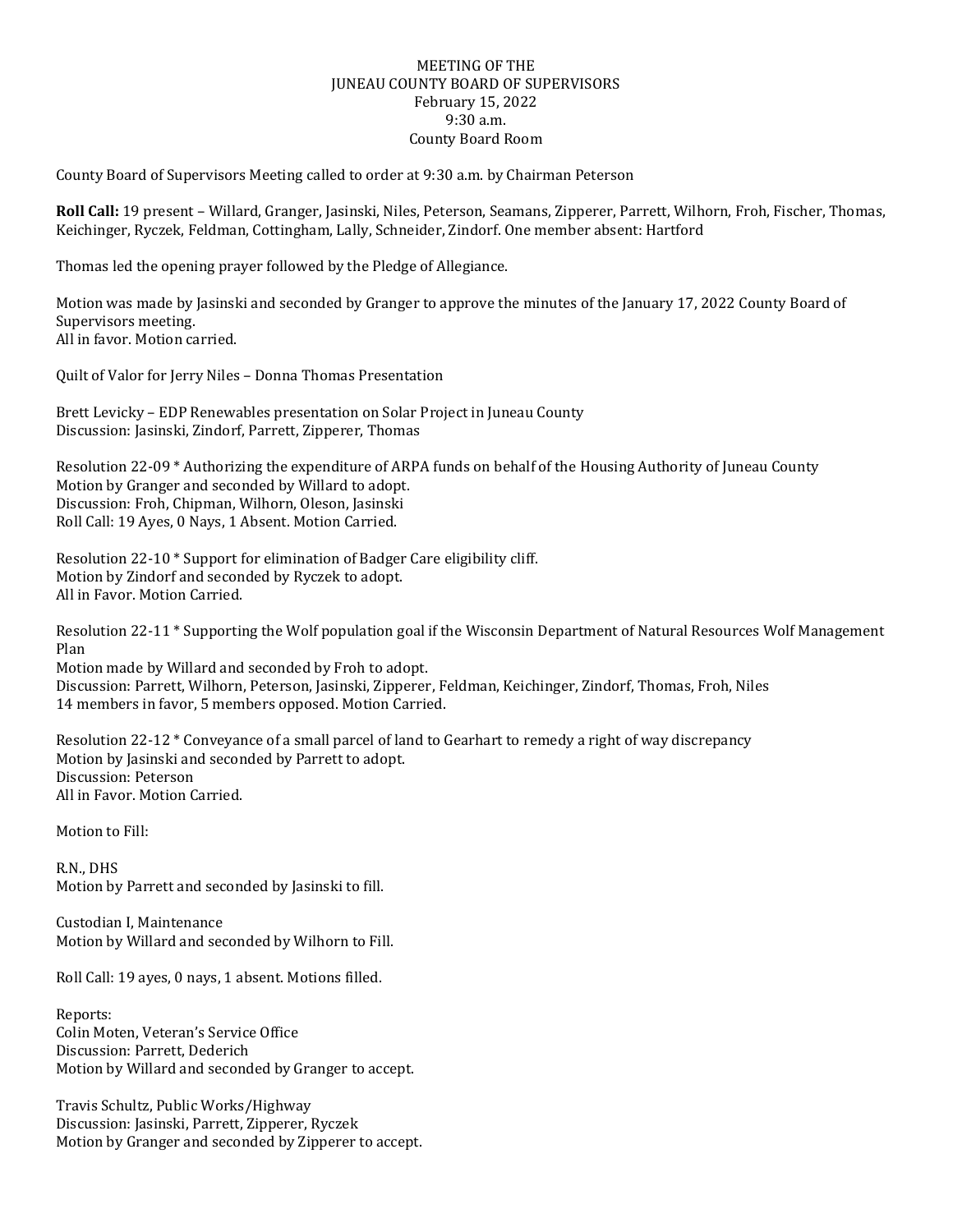## MEETING OF THE JUNEAU COUNTY BOARD OF SUPERVISORS February 15, 2022 9:30 a.m. County Board Room

County Board of Supervisors Meeting called to order at 9:30 a.m. by Chairman Peterson

**Roll Call:** 19 present – Willard, Granger, Jasinski, Niles, Peterson, Seamans, Zipperer, Parrett, Wilhorn, Froh, Fischer, Thomas, Keichinger, Ryczek, Feldman, Cottingham, Lally, Schneider, Zindorf. One member absent: Hartford

Thomas led the opening prayer followed by the Pledge of Allegiance.

Motion was made by Jasinski and seconded by Granger to approve the minutes of the January 17, 2022 County Board of Supervisors meeting. All in favor. Motion carried.

Quilt of Valor for Jerry Niles – Donna Thomas Presentation

Brett Levicky – EDP Renewables presentation on Solar Project in Juneau County Discussion: Jasinski, Zindorf, Parrett, Zipperer, Thomas

Resolution 22-09 \* Authorizing the expenditure of ARPA funds on behalf of the Housing Authority of Juneau County Motion by Granger and seconded by Willard to adopt. Discussion: Froh, Chipman, Wilhorn, Oleson, Jasinski Roll Call: 19 Ayes, 0 Nays, 1 Absent. Motion Carried.

Resolution 22-10 \* Support for elimination of Badger Care eligibility cliff. Motion by Zindorf and seconded by Ryczek to adopt. All in Favor. Motion Carried.

Resolution 22-11 \* Supporting the Wolf population goal if the Wisconsin Department of Natural Resources Wolf Management Plan

Motion made by Willard and seconded by Froh to adopt. Discussion: Parrett, Wilhorn, Peterson, Jasinski, Zipperer, Feldman, Keichinger, Zindorf, Thomas, Froh, Niles 14 members in favor, 5 members opposed. Motion Carried.

Resolution 22-12 \* Conveyance of a small parcel of land to Gearhart to remedy a right of way discrepancy Motion by Jasinski and seconded by Parrett to adopt. Discussion: Peterson All in Favor. Motion Carried.

Motion to Fill:

R.N., DHS Motion by Parrett and seconded by Jasinski to fill.

Custodian I, Maintenance Motion by Willard and seconded by Wilhorn to Fill.

Roll Call: 19 ayes, 0 nays, 1 absent. Motions filled.

Reports: Colin Moten, Veteran's Service Office Discussion: Parrett, Dederich Motion by Willard and seconded by Granger to accept.

Travis Schultz, Public Works/Highway Discussion: Jasinski, Parrett, Zipperer, Ryczek Motion by Granger and seconded by Zipperer to accept.